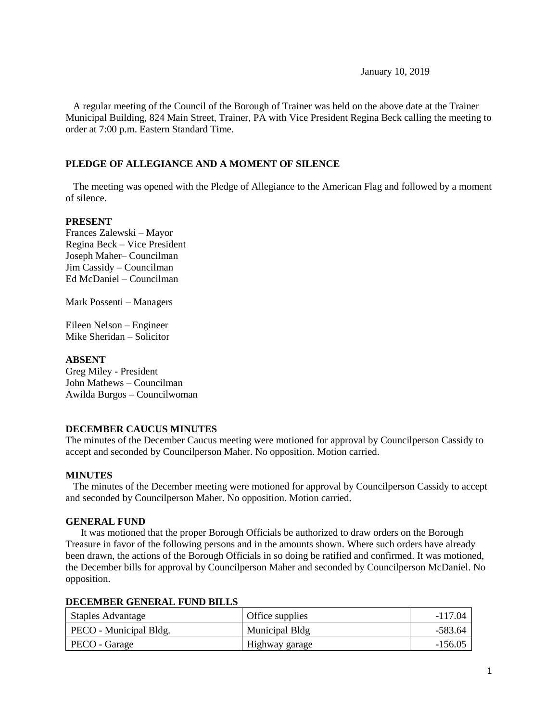January 10, 2019

 A regular meeting of the Council of the Borough of Trainer was held on the above date at the Trainer Municipal Building, 824 Main Street, Trainer, PA with Vice President Regina Beck calling the meeting to order at 7:00 p.m. Eastern Standard Time.

# **PLEDGE OF ALLEGIANCE AND A MOMENT OF SILENCE**

 The meeting was opened with the Pledge of Allegiance to the American Flag and followed by a moment of silence.

## **PRESENT**

Frances Zalewski – Mayor Regina Beck – Vice President Joseph Maher– Councilman Jim Cassidy – Councilman Ed McDaniel – Councilman

Mark Possenti – Managers

Eileen Nelson – Engineer Mike Sheridan – Solicitor

## **ABSENT**

Greg Miley - President John Mathews – Councilman Awilda Burgos – Councilwoman

# **DECEMBER CAUCUS MINUTES**

The minutes of the December Caucus meeting were motioned for approval by Councilperson Cassidy to accept and seconded by Councilperson Maher. No opposition. Motion carried.

#### **MINUTES**

The minutes of the December meeting were motioned for approval by Councilperson Cassidy to accept and seconded by Councilperson Maher. No opposition. Motion carried.

#### **GENERAL FUND**

 It was motioned that the proper Borough Officials be authorized to draw orders on the Borough Treasure in favor of the following persons and in the amounts shown. Where such orders have already been drawn, the actions of the Borough Officials in so doing be ratified and confirmed. It was motioned, the December bills for approval by Councilperson Maher and seconded by Councilperson McDaniel. No opposition.

#### **DECEMBER GENERAL FUND BILLS**

| <b>Staples Advantage</b> | Office supplies | $-117.04$ |
|--------------------------|-----------------|-----------|
| PECO - Municipal Bldg.   | Municipal Bldg  | -583.64   |
| PECO - Garage            | Highway garage  | $-156.05$ |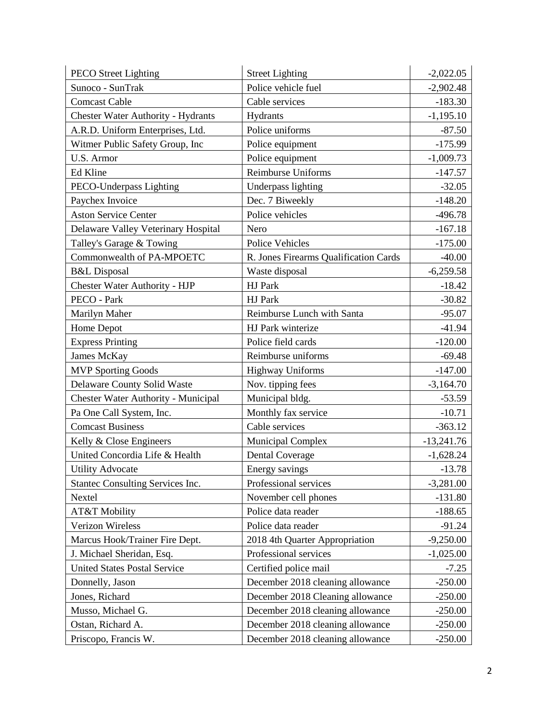| <b>PECO</b> Street Lighting                | <b>Street Lighting</b>                | $-2,022.05$  |
|--------------------------------------------|---------------------------------------|--------------|
| Sunoco - SunTrak                           | Police vehicle fuel                   | $-2,902.48$  |
| <b>Comcast Cable</b>                       | Cable services                        | $-183.30$    |
| <b>Chester Water Authority - Hydrants</b>  | Hydrants                              | $-1,195.10$  |
| A.R.D. Uniform Enterprises, Ltd.           | Police uniforms                       | $-87.50$     |
| Witmer Public Safety Group, Inc            | Police equipment                      | $-175.99$    |
| U.S. Armor                                 | Police equipment                      | $-1,009.73$  |
| Ed Kline                                   | Reimburse Uniforms                    | $-147.57$    |
| PECO-Underpass Lighting                    | Underpass lighting                    | $-32.05$     |
| Paychex Invoice                            | Dec. 7 Biweekly                       | $-148.20$    |
| <b>Aston Service Center</b>                | Police vehicles                       | $-496.78$    |
| Delaware Valley Veterinary Hospital        | Nero                                  | $-167.18$    |
| Talley's Garage & Towing                   | <b>Police Vehicles</b>                | $-175.00$    |
| Commonwealth of PA-MPOETC                  | R. Jones Firearms Qualification Cards | $-40.00$     |
| <b>B&amp;L</b> Disposal                    | Waste disposal                        | $-6,259.58$  |
| <b>Chester Water Authority - HJP</b>       | HJ Park                               | $-18.42$     |
| PECO - Park                                | HJ Park                               | $-30.82$     |
| Marilyn Maher                              | Reimburse Lunch with Santa            | $-95.07$     |
| Home Depot                                 | HJ Park winterize                     | $-41.94$     |
| <b>Express Printing</b>                    | Police field cards                    | $-120.00$    |
| James McKay                                | Reimburse uniforms                    | $-69.48$     |
| <b>MVP Sporting Goods</b>                  | <b>Highway Uniforms</b>               | $-147.00$    |
| Delaware County Solid Waste                | Nov. tipping fees                     | $-3,164.70$  |
| <b>Chester Water Authority - Municipal</b> | Municipal bldg.                       | $-53.59$     |
| Pa One Call System, Inc.                   | Monthly fax service                   | $-10.71$     |
| <b>Comcast Business</b>                    | Cable services                        | $-363.12$    |
| Kelly & Close Engineers                    | <b>Municipal Complex</b>              | $-13,241.76$ |
| United Concordia Life & Health             | <b>Dental Coverage</b>                | $-1,628.24$  |
| <b>Utility Advocate</b>                    | Energy savings                        | $-13.78$     |
| Stantec Consulting Services Inc.           | Professional services                 | $-3,281.00$  |
| Nextel                                     | November cell phones                  | $-131.80$    |
| AT&T Mobility                              | Police data reader                    | $-188.65$    |
| <b>Verizon Wireless</b>                    | Police data reader                    | $-91.24$     |
| Marcus Hook/Trainer Fire Dept.             | 2018 4th Quarter Appropriation        | $-9,250.00$  |
| J. Michael Sheridan, Esq.                  | Professional services                 | $-1,025.00$  |
| <b>United States Postal Service</b>        | Certified police mail                 | $-7.25$      |
| Donnelly, Jason                            | December 2018 cleaning allowance      | $-250.00$    |
| Jones, Richard                             | December 2018 Cleaning allowance      | $-250.00$    |
| Musso, Michael G.                          | December 2018 cleaning allowance      | $-250.00$    |
| Ostan, Richard A.                          | December 2018 cleaning allowance      | $-250.00$    |
| Priscopo, Francis W.                       | December 2018 cleaning allowance      | $-250.00$    |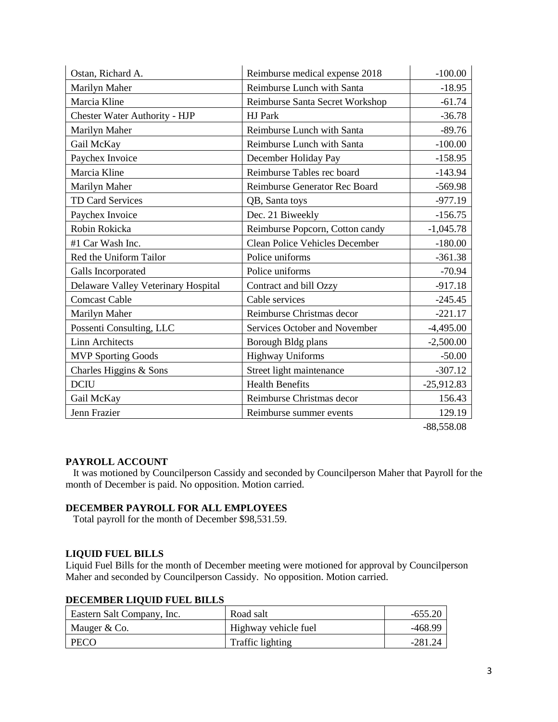| Ostan, Richard A.                    | Reimburse medical expense 2018        | $-100.00$    |
|--------------------------------------|---------------------------------------|--------------|
| Marilyn Maher                        | Reimburse Lunch with Santa            | $-18.95$     |
| Marcia Kline                         | Reimburse Santa Secret Workshop       | $-61.74$     |
| <b>Chester Water Authority - HJP</b> | <b>HJ</b> Park                        | $-36.78$     |
| Marilyn Maher                        | Reimburse Lunch with Santa            | $-89.76$     |
| Gail McKay                           | Reimburse Lunch with Santa            | $-100.00$    |
| Paychex Invoice                      | December Holiday Pay                  | $-158.95$    |
| Marcia Kline                         | Reimburse Tables rec board            | $-143.94$    |
| Marilyn Maher                        | Reimburse Generator Rec Board         | $-569.98$    |
| <b>TD Card Services</b>              | QB, Santa toys                        | $-977.19$    |
| Paychex Invoice                      | Dec. 21 Biweekly                      | $-156.75$    |
| Robin Rokicka                        | Reimburse Popcorn, Cotton candy       | $-1,045.78$  |
| #1 Car Wash Inc.                     | <b>Clean Police Vehicles December</b> | $-180.00$    |
| Red the Uniform Tailor               | Police uniforms                       | $-361.38$    |
| Galls Incorporated                   | Police uniforms                       | $-70.94$     |
| Delaware Valley Veterinary Hospital  | Contract and bill Ozzy                | $-917.18$    |
| <b>Comcast Cable</b>                 | Cable services                        | $-245.45$    |
| Marilyn Maher                        | Reimburse Christmas decor             | $-221.17$    |
| Possenti Consulting, LLC             | Services October and November         | $-4,495.00$  |
| <b>Linn Architects</b>               | Borough Bldg plans                    | $-2,500.00$  |
| <b>MVP Sporting Goods</b>            | <b>Highway Uniforms</b>               | $-50.00$     |
| Charles Higgins & Sons               | Street light maintenance              | $-307.12$    |
| <b>DCIU</b>                          | <b>Health Benefits</b>                | $-25,912.83$ |
| Gail McKay                           | Reimburse Christmas decor             | 156.43       |
| Jenn Frazier                         | Reimburse summer events               | 129.19       |

-88,558.08

# **PAYROLL ACCOUNT**

 It was motioned by Councilperson Cassidy and seconded by Councilperson Maher that Payroll for the month of December is paid. No opposition. Motion carried.

# **DECEMBER PAYROLL FOR ALL EMPLOYEES**

Total payroll for the month of December \$98,531.59.

# **LIQUID FUEL BILLS**

Liquid Fuel Bills for the month of December meeting were motioned for approval by Councilperson Maher and seconded by Councilperson Cassidy. No opposition. Motion carried.

# **DECEMBER LIQUID FUEL BILLS**

| Eastern Salt Company, Inc. | Road salt            | $-655.20$ |
|----------------------------|----------------------|-----------|
| Mauger & Co.               | Highway vehicle fuel | -468.99   |
| PECO                       | Traffic lighting     | -281.24   |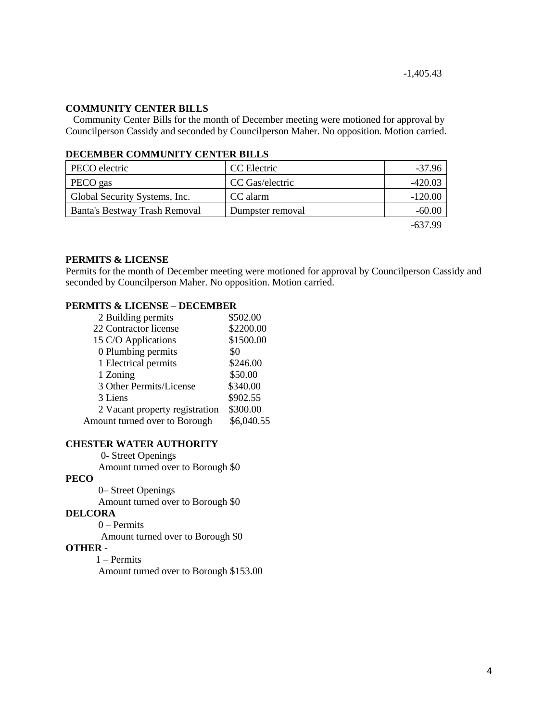# **COMMUNITY CENTER BILLS**

 Community Center Bills for the month of December meeting were motioned for approval by Councilperson Cassidy and seconded by Councilperson Maher. No opposition. Motion carried.

## **DECEMBER COMMUNITY CENTER BILLS**

| PECO electric                 | CC Electric      | $-37.96$ |
|-------------------------------|------------------|----------|
| PECO gas                      | CC Gas/electric  | -420.03  |
| Global Security Systems, Inc. | CC alarm         | -120.00  |
| Banta's Bestway Trash Removal | Dumpster removal | $-60.00$ |
|                               |                  | -637.99  |

## **PERMITS & LICENSE**

Permits for the month of December meeting were motioned for approval by Councilperson Cassidy and seconded by Councilperson Maher. No opposition. Motion carried.

# **PERMITS & LICENSE – DECEMBER**

| 2 Building permits             | \$502.00   |
|--------------------------------|------------|
| 22 Contractor license          | \$2200.00  |
| 15 C/O Applications            | \$1500.00  |
| 0 Plumbing permits             | \$0        |
| 1 Electrical permits           | \$246.00   |
| 1 Zoning                       | \$50.00    |
| 3 Other Permits/License        | \$340.00   |
| 3 Liens                        | \$902.55   |
| 2 Vacant property registration | \$300.00   |
| Amount turned over to Borough  | \$6,040.55 |

#### **CHESTER WATER AUTHORITY**

0- Street Openings

Amount turned over to Borough \$0

**PECO**

0– Street Openings

Amount turned over to Borough \$0

# **DELCORA**

0 – Permits

Amount turned over to Borough \$0

# **OTHER -**

1 – Permits

Amount turned over to Borough \$153.00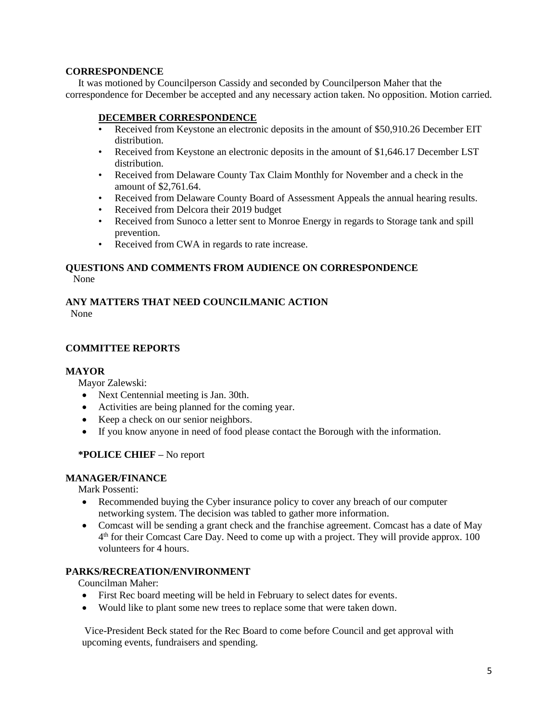# **CORRESPONDENCE**

 It was motioned by Councilperson Cassidy and seconded by Councilperson Maher that the correspondence for December be accepted and any necessary action taken. No opposition. Motion carried.

# **DECEMBER CORRESPONDENCE**

- Received from Keystone an electronic deposits in the amount of \$50,910.26 December EIT distribution.
- Received from Keystone an electronic deposits in the amount of \$1,646.17 December LST distribution.
- Received from Delaware County Tax Claim Monthly for November and a check in the amount of \$2,761.64.
- Received from Delaware County Board of Assessment Appeals the annual hearing results.
- Received from Delcora their 2019 budget
- Received from Sunoco a letter sent to Monroe Energy in regards to Storage tank and spill prevention.
- Received from CWA in regards to rate increase.

#### **QUESTIONS AND COMMENTS FROM AUDIENCE ON CORRESPONDENCE** None

# **ANY MATTERS THAT NEED COUNCILMANIC ACTION**

None

# **COMMITTEE REPORTS**

# **MAYOR**

Mayor Zalewski:

- Next Centennial meeting is Jan. 30th.
- Activities are being planned for the coming year.
- Keep a check on our senior neighbors.
- If you know anyone in need of food please contact the Borough with the information.

# **\*POLICE CHIEF –** No report

# **MANAGER/FINANCE**

Mark Possenti:

- Recommended buying the Cyber insurance policy to cover any breach of our computer networking system. The decision was tabled to gather more information.
- Comcast will be sending a grant check and the franchise agreement. Comcast has a date of May 4<sup>th</sup> for their Comcast Care Day. Need to come up with a project. They will provide approx. 100 volunteers for 4 hours.

# **PARKS/RECREATION/ENVIRONMENT**

Councilman Maher:

- First Rec board meeting will be held in February to select dates for events.
- Would like to plant some new trees to replace some that were taken down.

Vice-President Beck stated for the Rec Board to come before Council and get approval with upcoming events, fundraisers and spending.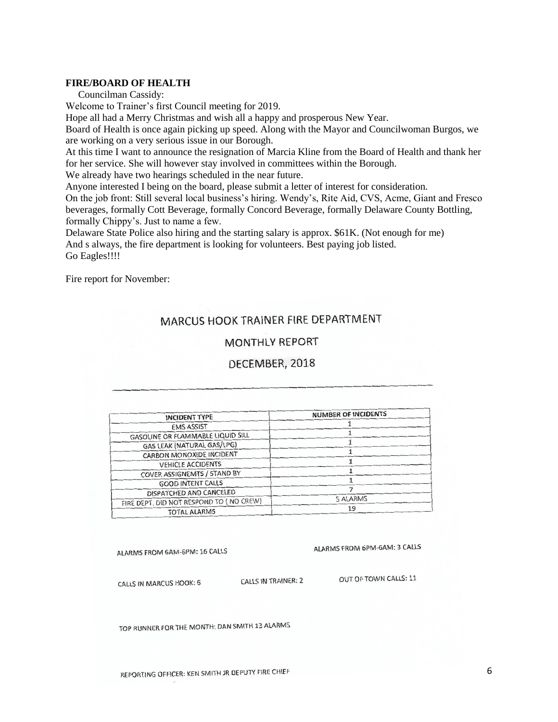## **FIRE/BOARD OF HEALTH**

Councilman Cassidy:

Welcome to Trainer's first Council meeting for 2019.

Hope all had a Merry Christmas and wish all a happy and prosperous New Year.

Board of Health is once again picking up speed. Along with the Mayor and Councilwoman Burgos, we are working on a very serious issue in our Borough.

At this time I want to announce the resignation of Marcia Kline from the Board of Health and thank her for her service. She will however stay involved in committees within the Borough.

We already have two hearings scheduled in the near future.

Anyone interested I being on the board, please submit a letter of interest for consideration.

On the job front: Still several local business's hiring. Wendy's, Rite Aid, CVS, Acme, Giant and Fresco beverages, formally Cott Beverage, formally Concord Beverage, formally Delaware County Bottling, formally Chippy's. Just to name a few.

Delaware State Police also hiring and the starting salary is approx. \$61K. (Not enough for me) And s always, the fire department is looking for volunteers. Best paying job listed. Go Eagles!!!!

Fire report for November:

# MARCUS HOOK TRAINER FIRE DEPARTMENT

# **MONTHLY REPORT**

# DECEMBER, 2018

| INCIDENT TYPE                            | <b>NUMBER OF INCIDENTS</b> |
|------------------------------------------|----------------------------|
| <b>EMS ASSIST</b>                        |                            |
| GASOLINE OR FLAMMABLE LIQUID SILL        |                            |
| GAS LEAK (NATURAL GAS/LPG)               |                            |
| CARBON MONOXIDE INCIDENT                 |                            |
| <b>VEHICLE ACCIDENTS</b>                 |                            |
| COVER ASSIGNEMTS / STAND BY              |                            |
| <b>GOOD INTENT CALLS</b>                 |                            |
| DISPATCHED AND CANCELED                  |                            |
| FIRE DEPT. DID NOT RESPOND TO ( NO CREW) | 5 ALARMS                   |
| <b>TOTAL ALARMS</b>                      | 19                         |

ALARMS FROM 6AM-6PM: 16 CALLS

ALARMS FROM 6PM-6AM: 3 CALLS

CALLS IN MARCUS HOOK: 6

CALLS IN TRAINER: 2

OUT OF TOWN CALLS: 11

TOP RUNNER FOR THE MONTH: DAN SMITH 13 ALARMS

REPORTING OFFICER: KEN SMITH JR DEPUTY FIRE CHIEF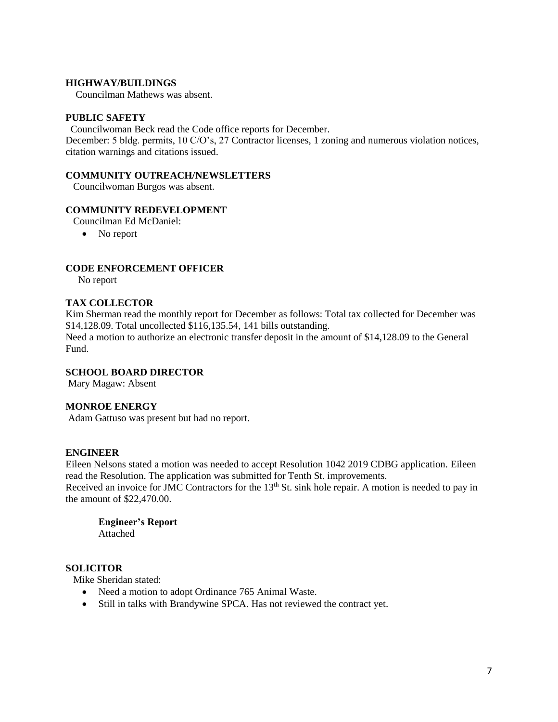# **HIGHWAY/BUILDINGS**

Councilman Mathews was absent.

# **PUBLIC SAFETY**

Councilwoman Beck read the Code office reports for December.

December: 5 bldg. permits, 10 C/O's, 27 Contractor licenses, 1 zoning and numerous violation notices, citation warnings and citations issued.

## **COMMUNITY OUTREACH/NEWSLETTERS**

Councilwoman Burgos was absent.

# **COMMUNITY REDEVELOPMENT**

- Councilman Ed McDaniel:
	- No report

# **CODE ENFORCEMENT OFFICER**

No report

# **TAX COLLECTOR**

Kim Sherman read the monthly report for December as follows: Total tax collected for December was \$14,128.09. Total uncollected \$116,135.54, 141 bills outstanding.

Need a motion to authorize an electronic transfer deposit in the amount of \$14,128.09 to the General Fund.

## **SCHOOL BOARD DIRECTOR**

Mary Magaw: Absent

#### **MONROE ENERGY**

Adam Gattuso was present but had no report.

#### **ENGINEER**

Eileen Nelsons stated a motion was needed to accept Resolution 1042 2019 CDBG application. Eileen read the Resolution. The application was submitted for Tenth St. improvements. Received an invoice for JMC Contractors for the 13<sup>th</sup> St. sink hole repair. A motion is needed to pay in the amount of \$22,470.00.

#### **Engineer's Report** Attached

## **SOLICITOR**

Mike Sheridan stated:

- Need a motion to adopt Ordinance 765 Animal Waste.
- Still in talks with Brandywine SPCA. Has not reviewed the contract yet.